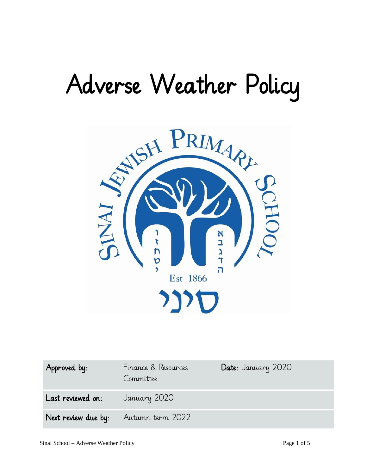# Adverse Weather Policy



| Approved by:                          | Finance & Resources<br>Committee | Date: January 2020 |
|---------------------------------------|----------------------------------|--------------------|
| <b>Last reviewed on:</b> January 2020 |                                  |                    |
| Next review due by: Autumn term 2022  |                                  |                    |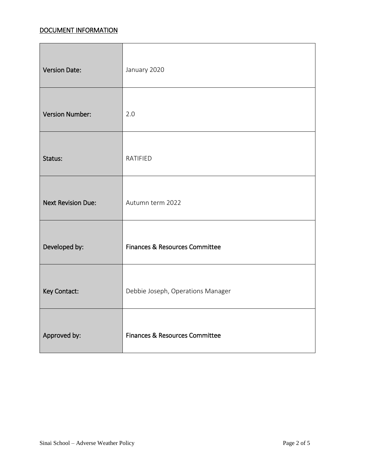# DOCUMENT INFORMATION

| <b>Version Date:</b>      | January 2020                      |
|---------------------------|-----------------------------------|
| <b>Version Number:</b>    | 2.0                               |
| Status:                   | RATIFIED                          |
| <b>Next Revision Due:</b> | Autumn term 2022                  |
| Developed by:             | Finances & Resources Committee    |
| Key Contact:              | Debbie Joseph, Operations Manager |
| Approved by:              | Finances & Resources Committee    |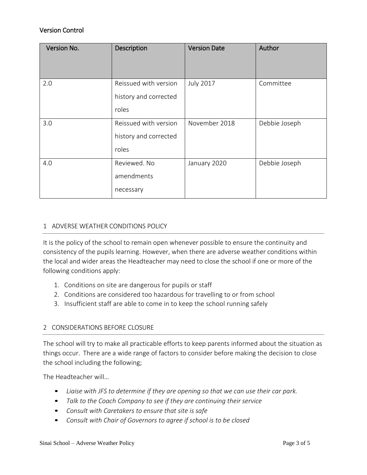## Version Control

| Version No. | Description                                             | <b>Version Date</b> | Author        |
|-------------|---------------------------------------------------------|---------------------|---------------|
| 2.0         | Reissued with version<br>history and corrected<br>roles | <b>July 2017</b>    | Committee     |
| 3.0         | Reissued with version<br>history and corrected<br>roles | November 2018       | Debbie Joseph |
| 4.0         | Reviewed, No<br>amendments<br>necessary                 | January 2020        | Debbie Joseph |

#### 1 ADVERSE WEATHER CONDITIONS POLICY

It is the policy of the school to remain open whenever possible to ensure the continuity and consistency of the pupils learning. However, when there are adverse weather conditions within the local and wider areas the Headteacher may need to close the school if one or more of the following conditions apply:

- 1. Conditions on site are dangerous for pupils or staff
- 2. Conditions are considered too hazardous for travelling to or from school
- 3. Insufficient staff are able to come in to keep the school running safely

### 2 CONSIDERATIONS BEFORE CLOSURE

The school will try to make all practicable efforts to keep parents informed about the situation as things occur. There are a wide range of factors to consider before making the decision to close the school including the following;

The Headteacher will…

- *Liaise with JFS to determine if they are opening so that we can use their car park.*
- *Talk to the Coach Company to see if they are continuing their service*
- *Consult with Caretakers to ensure that site is safe*
- *Consult with Chair of Governors to agree if school is to be closed*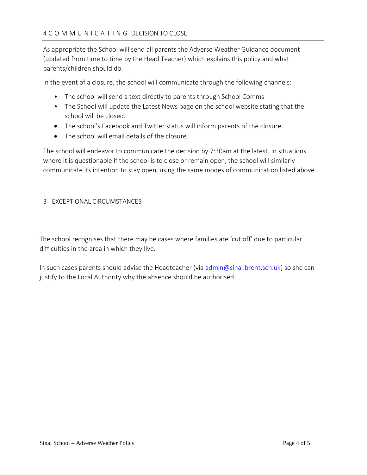As appropriate the School will send all parents the Adverse Weather Guidance document (updated from time to time by the Head Teacher) which explains this policy and what parents/children should do.

In the event of a closure, the school will communicate through the following channels:

- The school will send a text directly to parents through School Comms
- The School will update the Latest News page on the school website stating that the school will be closed.
- The school's Facebook and Twitter status will inform parents of the closure.
- The school will email details of the closure.

The school will endeavor to communicate the decision by 7:30am at the latest. In situations where it is questionable if the school is to close or remain open, the school will similarly communicate its intention to stay open, using the same modes of communication listed above.

#### 3 EXCEPTIONAL CIRCUMSTANCES

The school recognises that there may be cases where families are 'cut off' due to particular difficulties in the area in which they live.

In such cases parents should advise the Headteacher (via [admin@sinai.brent.sch.uk\)](mailto:admin@sinai.brent.sch.uk) so she can justify to the Local Authority why the absence should be authorised.